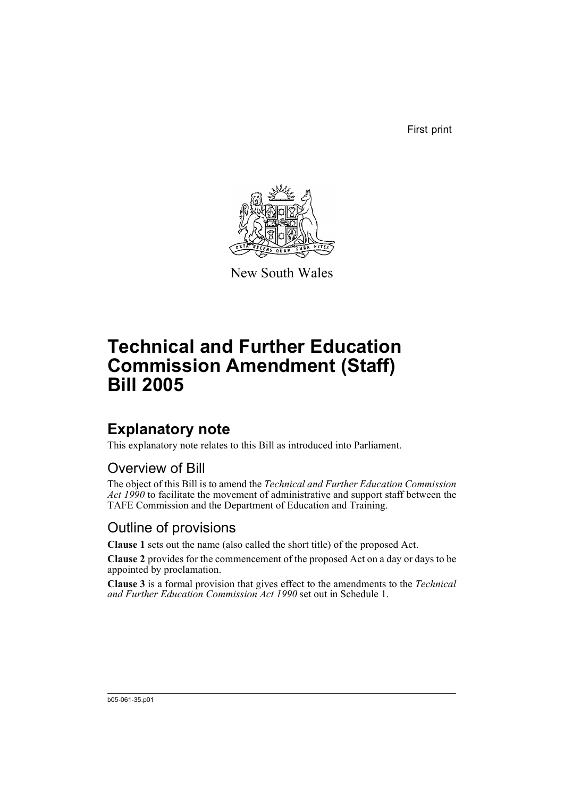First print



New South Wales

# **Technical and Further Education Commission Amendment (Staff) Bill 2005**

## **Explanatory note**

This explanatory note relates to this Bill as introduced into Parliament.

#### Overview of Bill

The object of this Bill is to amend the *Technical and Further Education Commission Act 1990* to facilitate the movement of administrative and support staff between the TAFE Commission and the Department of Education and Training.

### Outline of provisions

**Clause 1** sets out the name (also called the short title) of the proposed Act.

**Clause 2** provides for the commencement of the proposed Act on a day or days to be appointed by proclamation.

**Clause 3** is a formal provision that gives effect to the amendments to the *Technical and Further Education Commission Act 1990* set out in Schedule 1.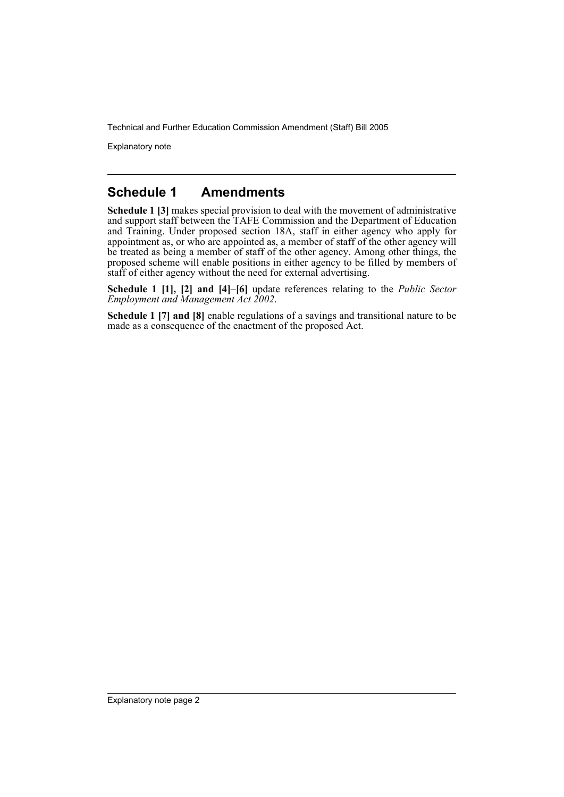Explanatory note

#### **Schedule 1 Amendments**

**Schedule 1 [3]** makes special provision to deal with the movement of administrative and support staff between the TAFE Commission and the Department of Education and Training. Under proposed section 18A, staff in either agency who apply for appointment as, or who are appointed as, a member of staff of the other agency will be treated as being a member of staff of the other agency. Among other things, the proposed scheme will enable positions in either agency to be filled by members of staff of either agency without the need for external advertising.

**Schedule 1 [1], [2] and [4]–[6]** update references relating to the *Public Sector Employment and Management Act 2002*.

**Schedule 1 [7] and [8]** enable regulations of a savings and transitional nature to be made as a consequence of the enactment of the proposed Act.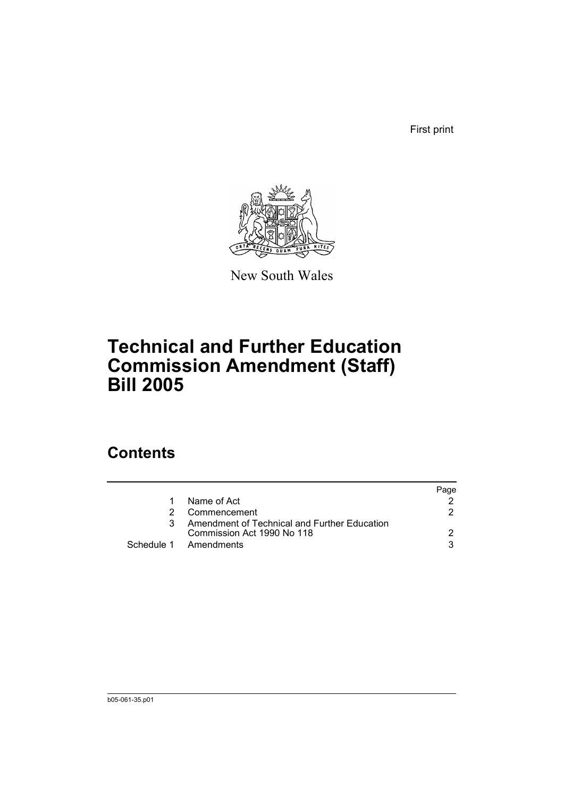First print



New South Wales

## **Technical and Further Education Commission Amendment (Staff) Bill 2005**

## **Contents**

|               |                                              | Page |
|---------------|----------------------------------------------|------|
| 1             | Name of Act                                  |      |
| $\mathcal{P}$ | Commencement                                 | 2    |
| 3             | Amendment of Technical and Further Education |      |
|               | Commission Act 1990 No 118                   |      |
|               | Schedule 1 Amendments                        | વ    |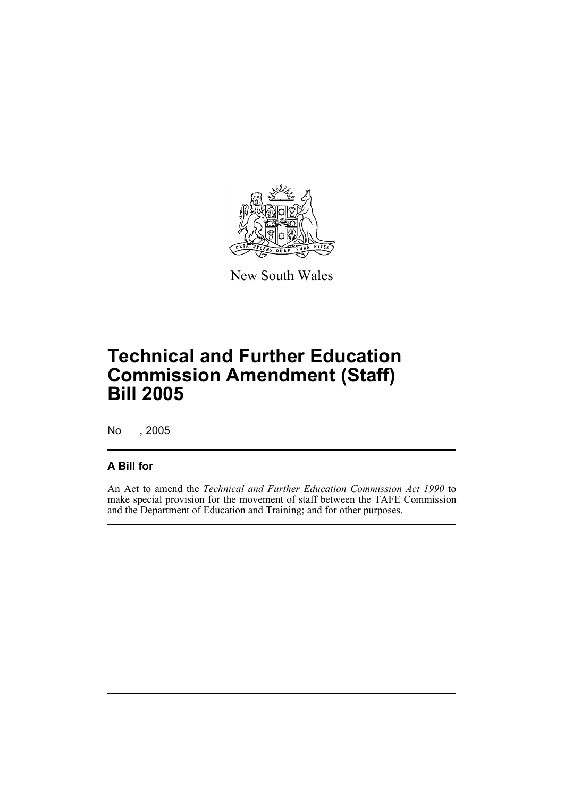

New South Wales

# **Technical and Further Education Commission Amendment (Staff) Bill 2005**

No , 2005

#### **A Bill for**

An Act to amend the *Technical and Further Education Commission Act 1990* to make special provision for the movement of staff between the TAFE Commission and the Department of Education and Training; and for other purposes.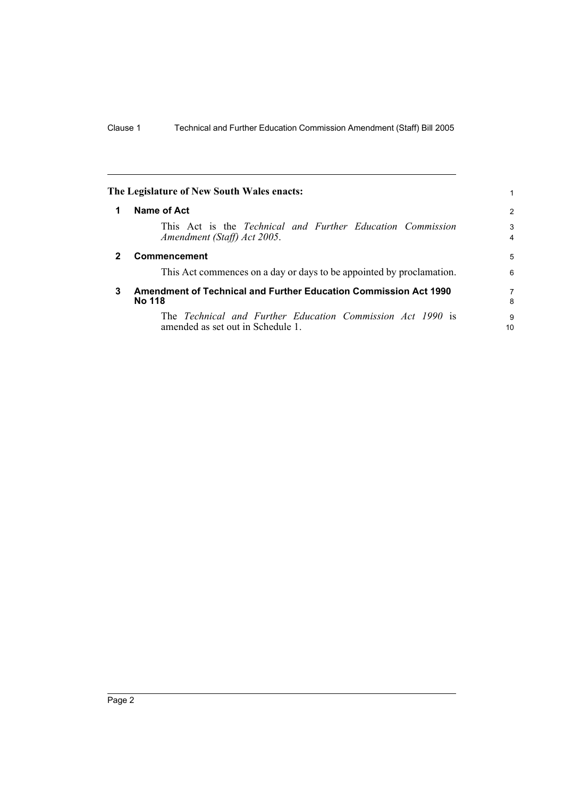<span id="page-5-2"></span><span id="page-5-1"></span><span id="page-5-0"></span>

| The Legislature of New South Wales enacts: |                                                                                                 |                     |
|--------------------------------------------|-------------------------------------------------------------------------------------------------|---------------------|
| 1                                          | Name of Act                                                                                     | $\overline{2}$      |
|                                            | This Act is the Technical and Further Education Commission<br>Amendment (Staff) Act 2005.       | 3<br>$\overline{4}$ |
| $\mathbf{2}$                               | Commencement                                                                                    | 5                   |
|                                            | This Act commences on a day or days to be appointed by proclamation.                            | 6                   |
| 3                                          | <b>Amendment of Technical and Further Education Commission Act 1990</b><br><b>No 118</b>        |                     |
|                                            | The Technical and Further Education Commission Act 1990 is<br>amended as set out in Schedule 1. | 9<br>10             |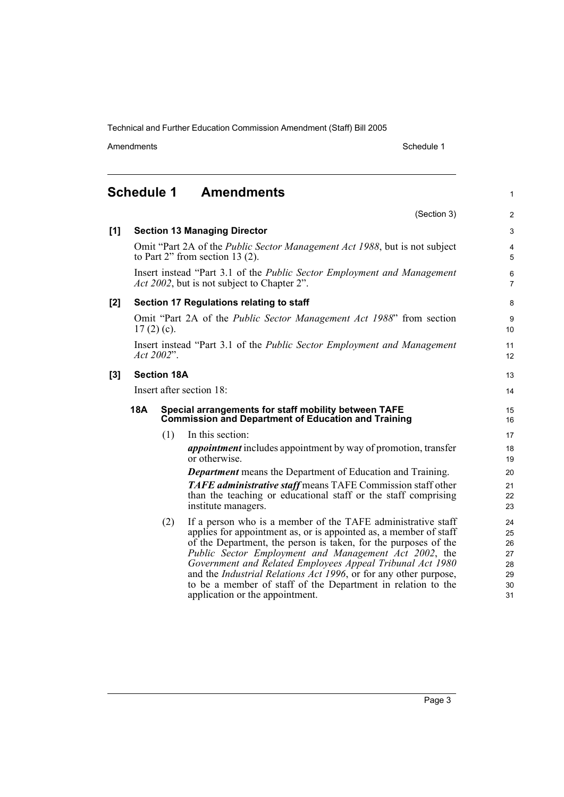Amendments **Amendments** Schedule 1

1

#### <span id="page-6-0"></span>**Schedule 1 Amendments** (Section 3) **[1] Section 13 Managing Director** Omit "Part 2A of the *Public Sector Management Act 1988*, but is not subject to Part 2" from section 13 (2). Insert instead "Part 3.1 of the *Public Sector Employment and Management Act 2002*, but is not subject to Chapter 2". **[2] Section 17 Regulations relating to staff** Omit "Part 2A of the *Public Sector Management Act 1988*" from section  $17(2)(c)$ . Insert instead "Part 3.1 of the *Public Sector Employment and Management Act 2002*". **[3] Section 18A** Insert after section 18: **18A Special arrangements for staff mobility between TAFE Commission and Department of Education and Training**  (1) In this section: *appointment* includes appointment by way of promotion, transfer or otherwise. *Department* means the Department of Education and Training. *TAFE administrative staff* means TAFE Commission staff other than the teaching or educational staff or the staff comprising institute managers. (2) If a person who is a member of the TAFE administrative staff

applies for appointment as, or is appointed as, a member of staff of the Department, the person is taken, for the purposes of the *Public Sector Employment and Management Act 2002*, the *Government and Related Employees Appeal Tribunal Act 1980* and the *Industrial Relations Act 1996*, or for any other purpose, to be a member of staff of the Department in relation to the application or the appointment.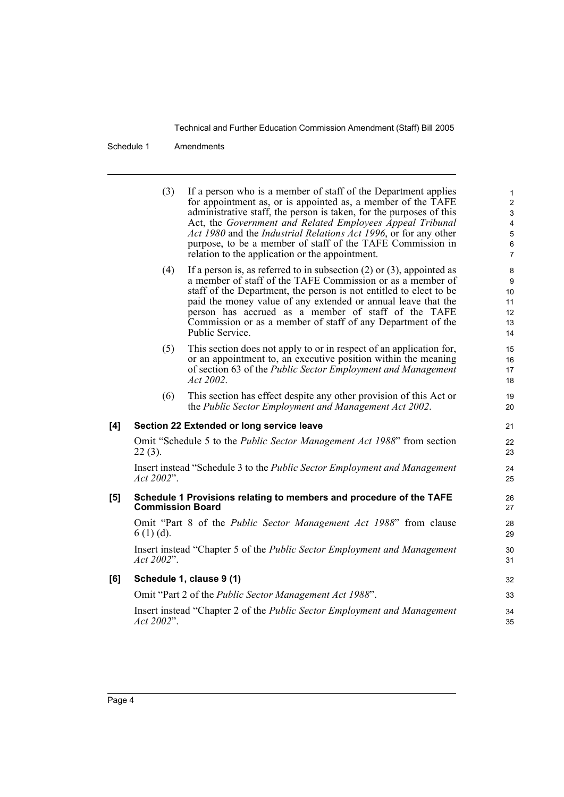Schedule 1 Amendments

|     | (3)                     | If a person who is a member of staff of the Department applies<br>for appointment as, or is appointed as, a member of the TAFE<br>administrative staff, the person is taken, for the purposes of this<br>Act, the Government and Related Employees Appeal Tribunal<br>Act 1980 and the Industrial Relations Act 1996, or for any other<br>purpose, to be a member of staff of the TAFE Commission in<br>relation to the application or the appointment. | $\mathbf{1}$<br>$\overline{c}$<br>$\mathbf{3}$<br>$\overline{\mathbf{4}}$<br>5<br>$\,6$<br>$\overline{7}$ |
|-----|-------------------------|---------------------------------------------------------------------------------------------------------------------------------------------------------------------------------------------------------------------------------------------------------------------------------------------------------------------------------------------------------------------------------------------------------------------------------------------------------|-----------------------------------------------------------------------------------------------------------|
|     | (4)                     | If a person is, as referred to in subsection $(2)$ or $(3)$ , appointed as<br>a member of staff of the TAFE Commission or as a member of<br>staff of the Department, the person is not entitled to elect to be<br>paid the money value of any extended or annual leave that the<br>person has accrued as a member of staff of the TAFE<br>Commission or as a member of staff of any Department of the<br>Public Service.                                | 8<br>9<br>10<br>11<br>12<br>13<br>14                                                                      |
|     | (5)                     | This section does not apply to or in respect of an application for,<br>or an appointment to, an executive position within the meaning<br>of section 63 of the Public Sector Employment and Management<br>Act 2002.                                                                                                                                                                                                                                      | 15<br>16<br>17<br>18                                                                                      |
|     | (6)                     | This section has effect despite any other provision of this Act or<br>the Public Sector Employment and Management Act 2002.                                                                                                                                                                                                                                                                                                                             | 19<br>20                                                                                                  |
| [4] |                         | Section 22 Extended or long service leave                                                                                                                                                                                                                                                                                                                                                                                                               | 21                                                                                                        |
|     | $22(3)$ .               | Omit "Schedule 5 to the Public Sector Management Act 1988" from section                                                                                                                                                                                                                                                                                                                                                                                 | 22<br>23                                                                                                  |
|     | Act 2002".              | Insert instead "Schedule 3 to the Public Sector Employment and Management                                                                                                                                                                                                                                                                                                                                                                               | 24<br>25                                                                                                  |
| [5] | <b>Commission Board</b> | Schedule 1 Provisions relating to members and procedure of the TAFE                                                                                                                                                                                                                                                                                                                                                                                     | 26<br>27                                                                                                  |
|     | $6(1)(d)$ .             | Omit "Part 8 of the <i>Public Sector Management Act 1988</i> " from clause                                                                                                                                                                                                                                                                                                                                                                              | 28<br>29                                                                                                  |
|     | Act 2002".              | Insert instead "Chapter 5 of the Public Sector Employment and Management                                                                                                                                                                                                                                                                                                                                                                                | 30<br>31                                                                                                  |
| [6] |                         | Schedule 1, clause 9 (1)                                                                                                                                                                                                                                                                                                                                                                                                                                | 32                                                                                                        |
|     |                         | Omit "Part 2 of the Public Sector Management Act 1988".                                                                                                                                                                                                                                                                                                                                                                                                 | 33                                                                                                        |
|     | Act 2002".              | Insert instead "Chapter 2 of the Public Sector Employment and Management                                                                                                                                                                                                                                                                                                                                                                                | 34<br>35                                                                                                  |
|     |                         |                                                                                                                                                                                                                                                                                                                                                                                                                                                         |                                                                                                           |